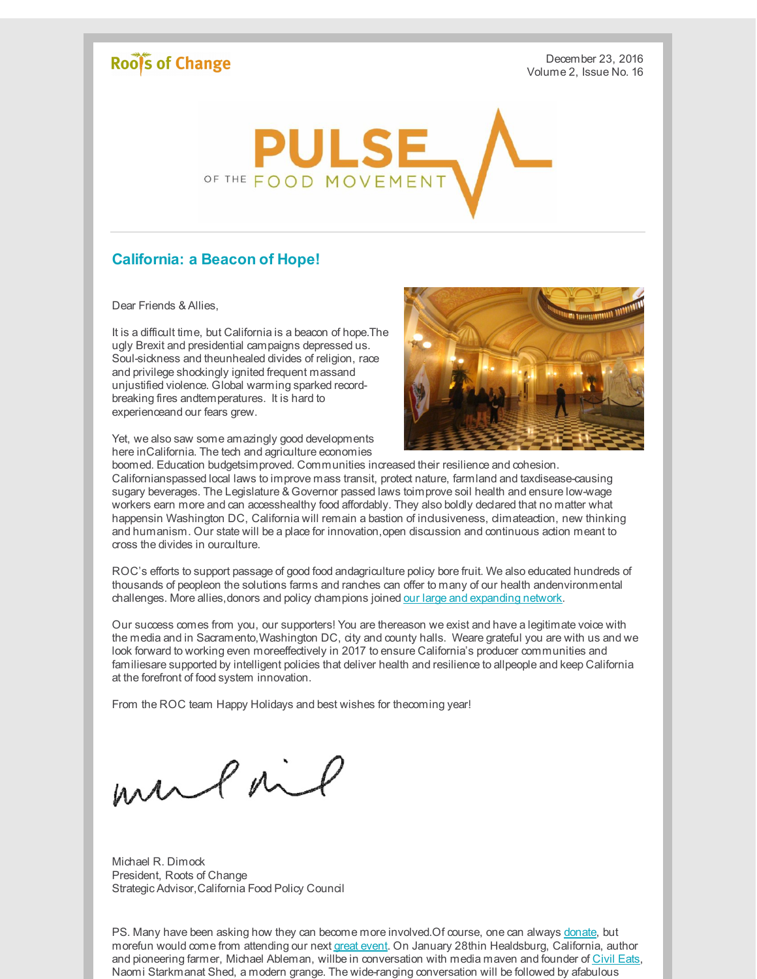## Roof's of Change

December 23, 2016 Volume 2, Issue No. 16



## **California: a Beacon of Hope!**

Dear Friends & Allies,

It is a difficult time, but California is a beacon of hope.The ugly Brexit and presidential campaigns depressed us. Soul-sickness and theunhealed divides of religion, race and privilege shockingly ignited frequent massand unjustified violence. Global warming sparked recordbreaking fires andtemperatures. It is hard to experienceand our fears grew.

Yet, we also saw some amazingly good developments here inCalifornia. The tech and agriculture economies



boomed. Education budgetsimproved. Communities increased their resilience and cohesion. Californianspassed local laws to improve mass transit, protect nature, farmland and taxdisease-causing sugary beverages. The Legislature & Governor passed laws toimprove soil health and ensure low-wage workers earn more and can accesshealthy food affordably. They also boldly declared that no matter what happensin Washington DC, California will remain a bastion of inclusiveness, climateaction, new thinking and humanism. Our state will be a place for innovation,open discussion and continuous action meant to cross the divides in ourculture.

ROC's efforts to support passage of good food andagriculture policy bore fruit. We also educated hundreds of thousands of peopleon the solutions farms and ranches can offer to many of our health andenvironmental challenges. More allies, donors and policy champions joined our large and [expanding](http://r20.rs6.net/tn.jsp?f=0019GbP7t-7X5xoIv9hjTGidY_vXbgFxDjn-I2QI_QZ78pW6lKMuoeYeT5fvvnO7-3qxREDH_XOxdtDiMSeiSh3io2JIjHWenzXpkMkjMGYJMwK2EpR1jvvMhVwMDkOgg-G8H9L9XpaoFabVghacDNuZwj5xFONYs5vlAPNiuiuOp9iTKx2anmbuxcJ_jEtDG6R&c=&ch=) network.

Our success comes from you, our supporters! You are thereason we exist and have a legitimate voice with the media and in Sacramento,Washington DC, city and county halls. Weare grateful you are with us and we look forward to working even moreeffectively in 2017 to ensure California's producer communities and familiesare supported by intelligent policies that deliver health and resilience to allpeople and keep California at the forefront of food system innovation.

From the ROC team Happy Holidays and best wishes for thecoming year!

mulait

Michael R. Dimock President, Roots of Change Strategic Advisor,California Food Policy Council

PS. Many have been asking how they can become more involved. Of course, one can always [donate](http://r20.rs6.net/tn.jsp?f=0019GbP7t-7X5xoIv9hjTGidY_vXbgFxDjn-I2QI_QZ78pW6lKMuoeYeS-FjtakJhU15_PhlA3uYNVx7uvg25ks6YyorDzLOJIKLk8IJOs834qlOXWau6D5LR4hBF-8NGjp2yOVC0jVRebv9UPH1Npf-PVRysw1usHJrCKR3pc3sCVhWQm8iTcvWPmM5h-RF2Vl&c=&ch=), but morefun would come from attending our next great [event](http://r20.rs6.net/tn.jsp?f=0019GbP7t-7X5xoIv9hjTGidY_vXbgFxDjn-I2QI_QZ78pW6lKMuoeYeYWLGVjvM0qSgwHbU3dfgG2qgI2bjNB0swr4E-jtdexJsmokg0O1K_ig1It7qXfhRNQJzQdaJYp8j-DFIkKd0Q7UvVAoMlsbooiVUB08ZemflqIfAG1PDKu_S_n8ASQlxA==&c=&ch=). On January 28thin Healdsburg, California, author and pioneering farmer, Michael Ableman, willbe in conversation with media maven and founder of [Civil](http://r20.rs6.net/tn.jsp?f=0019GbP7t-7X5xoIv9hjTGidY_vXbgFxDjn-I2QI_QZ78pW6lKMuoeYeT5fvvnO7-3qsIeWoEnUEoJlBu_zPKOXvbnTGrJ4aUhqRbJlAGRkBMM-1_Yi6b8UqQg_zZLvBD5JTKY7dP-XWHl8pYerOISZqQ==&c=&ch=) Eats, Naomi Starkmanat Shed, a modern grange. The wide-ranging conversation will be followed by afabulous